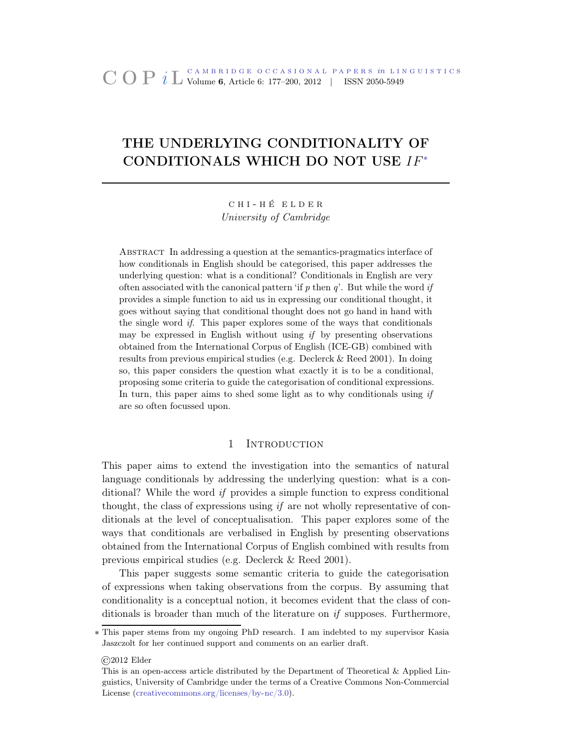# THE UNDERLYING CONDITIONALITY OF CONDITIONALS WHICH DO NOT USE IF˚

c h i - h é e l d e r *University of Cambridge*

Abstract In addressing a question at the semantics-pragmatics interface of how conditionals in English should be categorised, this paper addresses the underlying question: what is a conditional? Conditionals in English are very often associated with the canonical pattern 'if  $p$  then  $q$ '. But while the word if provides a simple function to aid us in expressing our conditional thought, it goes without saying that conditional thought does not go hand in hand with the single word if. This paper explores some of the ways that conditionals may be expressed in English without using  $if$  by presenting observations obtained from the International Corpus of English (ICE-GB) combined with results from previous empirical studies (e.g. Declerck & Reed 2001). In doing so, this paper considers the question what exactly it is to be a conditional, proposing some criteria to guide the categorisation of conditional expressions. In turn, this paper aims to shed some light as to why conditionals using  $if$ are so often focussed upon.

# 1 INTRODUCTION

This paper aims to extend the investigation into the semantics of natural language conditionals by addressing the underlying question: what is a conditional? While the word *if* provides a simple function to express conditional thought, the class of expressions using *if* are not wholly representative of conditionals at the level of conceptualisation. This paper explores some of the ways that conditionals are verbalised in English by presenting observations obtained from the International Corpus of English combined with results from previous empirical studies (e.g. Declerck & Reed 2001).

This paper suggests some semantic criteria to guide the categorisation of expressions when taking observations from the corpus. By assuming that conditionality is a conceptual notion, it becomes evident that the class of conditionals is broader than much of the literature on *if* supposes. Furthermore,

©2012 Elder

<sup>˚</sup> This paper stems from my ongoing PhD research. I am indebted to my supervisor Kasia Jaszczolt for her continued support and comments on an earlier draft.

This is an open-access article distributed by the Department of Theoretical & Applied Linguistics, University of Cambridge under the terms of a Creative Commons Non-Commercial License [\(creativecommons.org/licenses/by-nc/3.0\)](http://creativecommons.org/licenses/by-nc/3.0).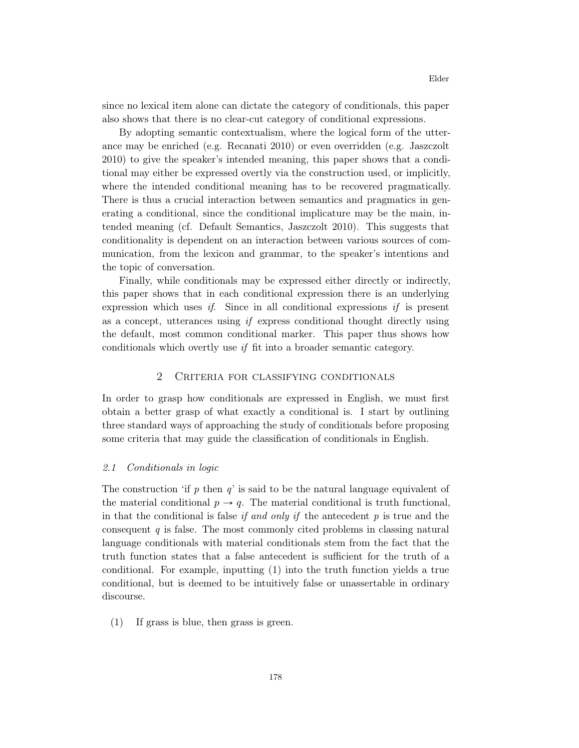since no lexical item alone can dictate the category of conditionals, this paper also shows that there is no clear-cut category of conditional expressions.

By adopting semantic contextualism, where the logical form of the utterance may be enriched (e.g. Recanati 2010) or even overridden (e.g. Jaszczolt 2010) to give the speaker's intended meaning, this paper shows that a conditional may either be expressed overtly via the construction used, or implicitly, where the intended conditional meaning has to be recovered pragmatically. There is thus a crucial interaction between semantics and pragmatics in generating a conditional, since the conditional implicature may be the main, intended meaning (cf. Default Semantics, Jaszczolt 2010). This suggests that conditionality is dependent on an interaction between various sources of communication, from the lexicon and grammar, to the speaker's intentions and the topic of conversation.

Finally, while conditionals may be expressed either directly or indirectly, this paper shows that in each conditional expression there is an underlying expression which uses *if*. Since in all conditional expressions *if* is present as a concept, utterances using *if* express conditional thought directly using the default, most common conditional marker. This paper thus shows how conditionals which overtly use *if* fit into a broader semantic category.

# 2 Criteria for classifying conditionals

In order to grasp how conditionals are expressed in English, we must first obtain a better grasp of what exactly a conditional is. I start by outlining three standard ways of approaching the study of conditionals before proposing some criteria that may guide the classification of conditionals in English.

#### *2.1 Conditionals in logic*

The construction 'if *p* then *q*' is said to be the natural language equivalent of the material conditional  $p \to q$ . The material conditional is truth functional, in that the conditional is false *if and only if* the antecedent *p* is true and the consequent *q* is false. The most commonly cited problems in classing natural language conditionals with material conditionals stem from the fact that the truth function states that a false antecedent is sufficient for the truth of a conditional. For example, inputting (1) into the truth function yields a true conditional, but is deemed to be intuitively false or unassertable in ordinary discourse.

(1) If grass is blue, then grass is green.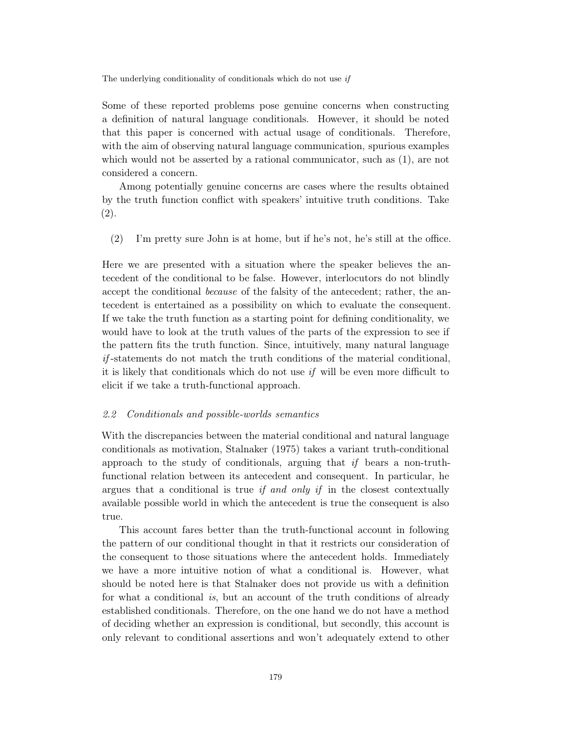Some of these reported problems pose genuine concerns when constructing a definition of natural language conditionals. However, it should be noted that this paper is concerned with actual usage of conditionals. Therefore, with the aim of observing natural language communication, spurious examples which would not be asserted by a rational communicator, such as  $(1)$ , are not considered a concern.

Among potentially genuine concerns are cases where the results obtained by the truth function conflict with speakers' intuitive truth conditions. Take (2).

(2) I'm pretty sure John is at home, but if he's not, he's still at the office.

Here we are presented with a situation where the speaker believes the antecedent of the conditional to be false. However, interlocutors do not blindly accept the conditional *because* of the falsity of the antecedent; rather, the antecedent is entertained as a possibility on which to evaluate the consequent. If we take the truth function as a starting point for defining conditionality, we would have to look at the truth values of the parts of the expression to see if the pattern fits the truth function. Since, intuitively, many natural language *if* -statements do not match the truth conditions of the material conditional, it is likely that conditionals which do not use *if* will be even more difficult to elicit if we take a truth-functional approach.

### *2.2 Conditionals and possible-worlds semantics*

With the discrepancies between the material conditional and natural language conditionals as motivation, Stalnaker (1975) takes a variant truth-conditional approach to the study of conditionals, arguing that *if* bears a non-truthfunctional relation between its antecedent and consequent. In particular, he argues that a conditional is true *if and only if* in the closest contextually available possible world in which the antecedent is true the consequent is also true.

This account fares better than the truth-functional account in following the pattern of our conditional thought in that it restricts our consideration of the consequent to those situations where the antecedent holds. Immediately we have a more intuitive notion of what a conditional is. However, what should be noted here is that Stalnaker does not provide us with a definition for what a conditional *is*, but an account of the truth conditions of already established conditionals. Therefore, on the one hand we do not have a method of deciding whether an expression is conditional, but secondly, this account is only relevant to conditional assertions and won't adequately extend to other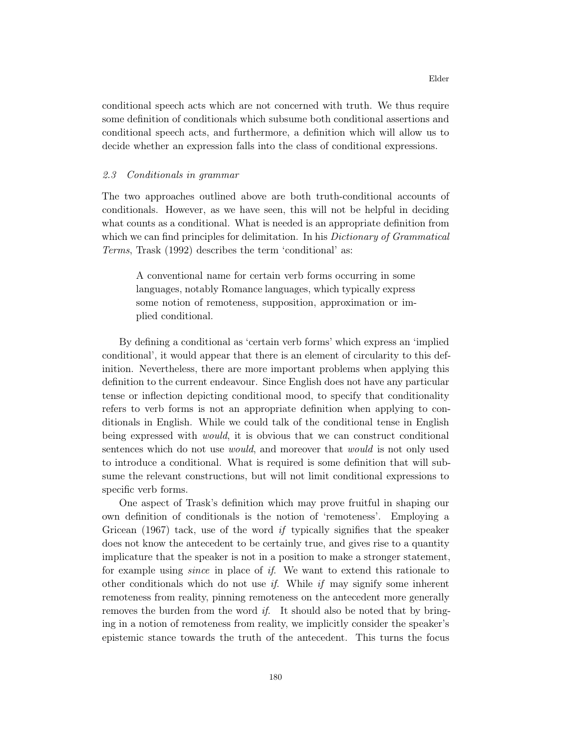conditional speech acts which are not concerned with truth. We thus require some definition of conditionals which subsume both conditional assertions and conditional speech acts, and furthermore, a definition which will allow us to decide whether an expression falls into the class of conditional expressions.

## *2.3 Conditionals in grammar*

The two approaches outlined above are both truth-conditional accounts of conditionals. However, as we have seen, this will not be helpful in deciding what counts as a conditional. What is needed is an appropriate definition from which we can find principles for delimitation. In his *Dictionary of Grammatical Terms*, Trask (1992) describes the term 'conditional' as:

A conventional name for certain verb forms occurring in some languages, notably Romance languages, which typically express some notion of remoteness, supposition, approximation or implied conditional.

By defining a conditional as 'certain verb forms' which express an 'implied conditional', it would appear that there is an element of circularity to this definition. Nevertheless, there are more important problems when applying this definition to the current endeavour. Since English does not have any particular tense or inflection depicting conditional mood, to specify that conditionality refers to verb forms is not an appropriate definition when applying to conditionals in English. While we could talk of the conditional tense in English being expressed with *would*, it is obvious that we can construct conditional sentences which do not use *would*, and moreover that *would* is not only used to introduce a conditional. What is required is some definition that will subsume the relevant constructions, but will not limit conditional expressions to specific verb forms.

One aspect of Trask's definition which may prove fruitful in shaping our own definition of conditionals is the notion of 'remoteness'. Employing a Gricean (1967) tack, use of the word *if* typically signifies that the speaker does not know the antecedent to be certainly true, and gives rise to a quantity implicature that the speaker is not in a position to make a stronger statement, for example using *since* in place of *if*. We want to extend this rationale to other conditionals which do not use *if*. While *if* may signify some inherent remoteness from reality, pinning remoteness on the antecedent more generally removes the burden from the word *if*. It should also be noted that by bringing in a notion of remoteness from reality, we implicitly consider the speaker's epistemic stance towards the truth of the antecedent. This turns the focus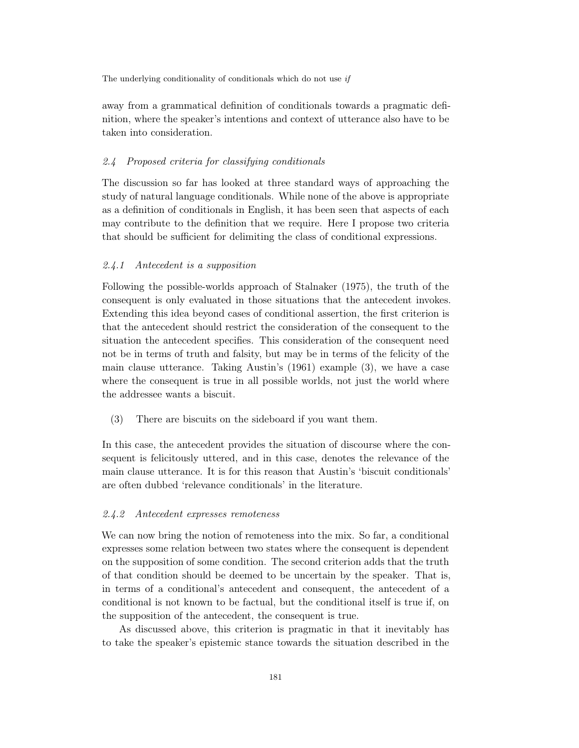away from a grammatical definition of conditionals towards a pragmatic definition, where the speaker's intentions and context of utterance also have to be taken into consideration.

#### *2.4 Proposed criteria for classifying conditionals*

The discussion so far has looked at three standard ways of approaching the study of natural language conditionals. While none of the above is appropriate as a definition of conditionals in English, it has been seen that aspects of each may contribute to the definition that we require. Here I propose two criteria that should be sufficient for delimiting the class of conditional expressions.

## *2.4.1 Antecedent is a supposition*

Following the possible-worlds approach of Stalnaker (1975), the truth of the consequent is only evaluated in those situations that the antecedent invokes. Extending this idea beyond cases of conditional assertion, the first criterion is that the antecedent should restrict the consideration of the consequent to the situation the antecedent specifies. This consideration of the consequent need not be in terms of truth and falsity, but may be in terms of the felicity of the main clause utterance. Taking Austin's (1961) example (3), we have a case where the consequent is true in all possible worlds, not just the world where the addressee wants a biscuit.

(3) There are biscuits on the sideboard if you want them.

In this case, the antecedent provides the situation of discourse where the consequent is felicitously uttered, and in this case, denotes the relevance of the main clause utterance. It is for this reason that Austin's 'biscuit conditionals' are often dubbed 'relevance conditionals' in the literature.

## *2.4.2 Antecedent expresses remoteness*

We can now bring the notion of remoteness into the mix. So far, a conditional expresses some relation between two states where the consequent is dependent on the supposition of some condition. The second criterion adds that the truth of that condition should be deemed to be uncertain by the speaker. That is, in terms of a conditional's antecedent and consequent, the antecedent of a conditional is not known to be factual, but the conditional itself is true if, on the supposition of the antecedent, the consequent is true.

As discussed above, this criterion is pragmatic in that it inevitably has to take the speaker's epistemic stance towards the situation described in the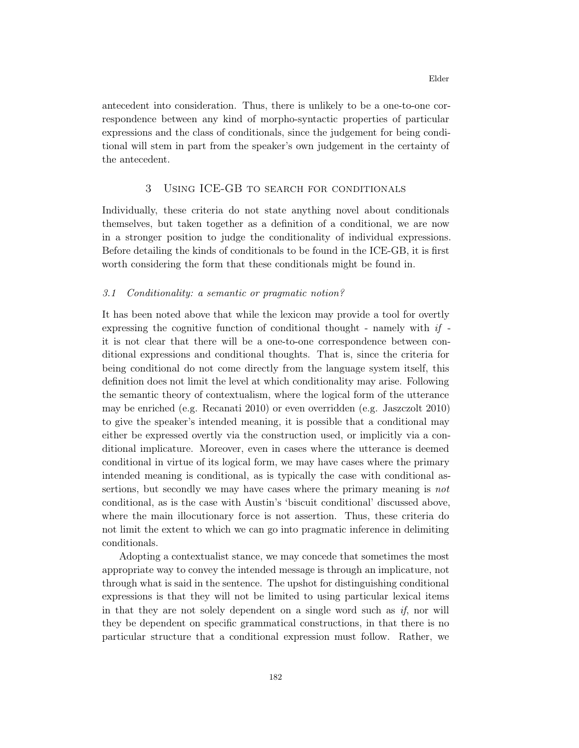antecedent into consideration. Thus, there is unlikely to be a one-to-one correspondence between any kind of morpho-syntactic properties of particular expressions and the class of conditionals, since the judgement for being conditional will stem in part from the speaker's own judgement in the certainty of the antecedent.

# 3 Using ICE-GB to search for conditionals

Individually, these criteria do not state anything novel about conditionals themselves, but taken together as a definition of a conditional, we are now in a stronger position to judge the conditionality of individual expressions. Before detailing the kinds of conditionals to be found in the ICE-GB, it is first worth considering the form that these conditionals might be found in.

## *3.1 Conditionality: a semantic or pragmatic notion?*

It has been noted above that while the lexicon may provide a tool for overtly expressing the cognitive function of conditional thought - namely with *if* it is not clear that there will be a one-to-one correspondence between conditional expressions and conditional thoughts. That is, since the criteria for being conditional do not come directly from the language system itself, this definition does not limit the level at which conditionality may arise. Following the semantic theory of contextualism, where the logical form of the utterance may be enriched (e.g. Recanati 2010) or even overridden (e.g. Jaszczolt 2010) to give the speaker's intended meaning, it is possible that a conditional may either be expressed overtly via the construction used, or implicitly via a conditional implicature. Moreover, even in cases where the utterance is deemed conditional in virtue of its logical form, we may have cases where the primary intended meaning is conditional, as is typically the case with conditional assertions, but secondly we may have cases where the primary meaning is *not* conditional, as is the case with Austin's 'biscuit conditional' discussed above, where the main illocutionary force is not assertion. Thus, these criteria do not limit the extent to which we can go into pragmatic inference in delimiting conditionals.

Adopting a contextualist stance, we may concede that sometimes the most appropriate way to convey the intended message is through an implicature, not through what is said in the sentence. The upshot for distinguishing conditional expressions is that they will not be limited to using particular lexical items in that they are not solely dependent on a single word such as *if*, nor will they be dependent on specific grammatical constructions, in that there is no particular structure that a conditional expression must follow. Rather, we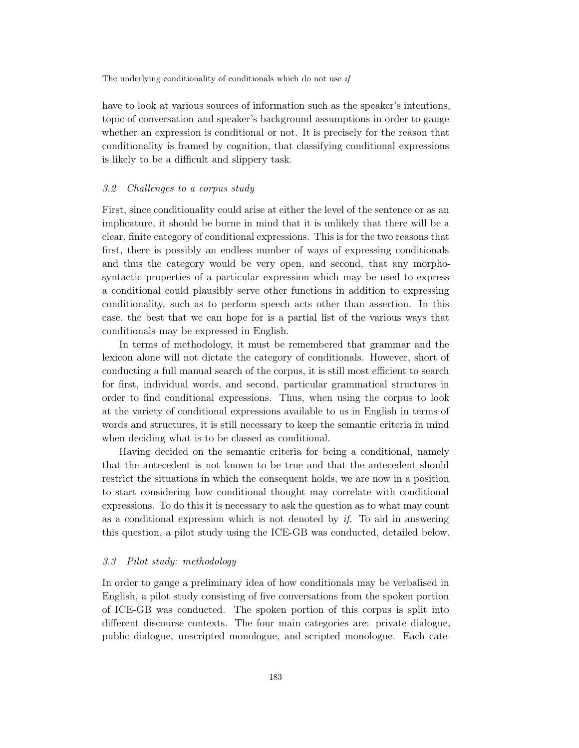have to look at various sources of information such as the speaker's intentions, topic of conversation and speaker's background assumptions in order to gauge whether an expression is conditional or not. It is precisely for the reason that conditionality is framed by cognition, that classifying conditional expressions is likely to be a difficult and slippery task.

#### *3.2 Challenges to a corpus study*

First, since conditionality could arise at either the level of the sentence or as an implicature, it should be borne in mind that it is unlikely that there will be a clear, finite category of conditional expressions. This is for the two reasons that first, there is possibly an endless number of ways of expressing conditionals and thus the category would be very open, and second, that any morphosyntactic properties of a particular expression which may be used to express a conditional could plausibly serve other functions in addition to expressing conditionality, such as to perform speech acts other than assertion. In this case, the best that we can hope for is a partial list of the various ways that conditionals may be expressed in English.

In terms of methodology, it must be remembered that grammar and the lexicon alone will not dictate the category of conditionals. However, short of conducting a full manual search of the corpus, it is still most efficient to search for first, individual words, and second, particular grammatical structures in order to find conditional expressions. Thus, when using the corpus to look at the variety of conditional expressions available to us in English in terms of words and structures, it is still necessary to keep the semantic criteria in mind when deciding what is to be classed as conditional.

Having decided on the semantic criteria for being a conditional, namely that the antecedent is not known to be true and that the antecedent should restrict the situations in which the consequent holds, we are now in a position to start considering how conditional thought may correlate with conditional expressions. To do this it is necessary to ask the question as to what may count as a conditional expression which is not denoted by *if*. To aid in answering this question, a pilot study using the ICE-GB was conducted, detailed below.

# *3.3 Pilot study: methodology*

In order to gauge a preliminary idea of how conditionals may be verbalised in English, a pilot study consisting of five conversations from the spoken portion of ICE-GB was conducted. The spoken portion of this corpus is split into different discourse contexts. The four main categories are: private dialogue, public dialogue, unscripted monologue, and scripted monologue. Each cate-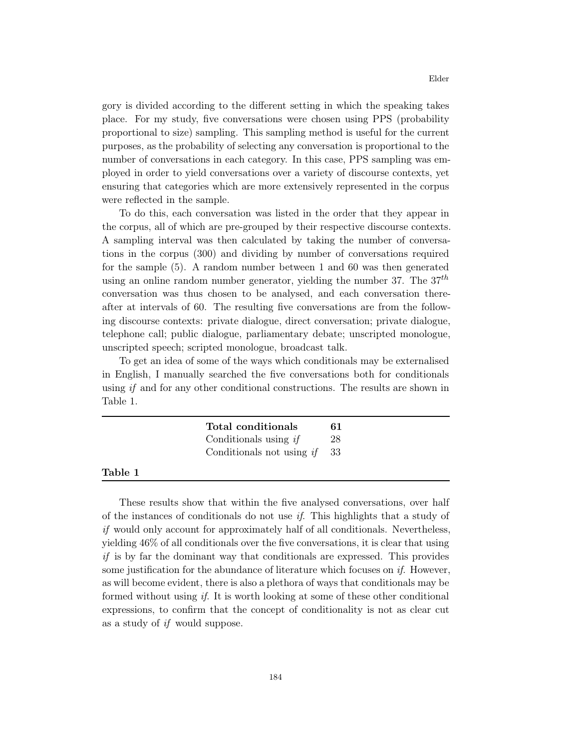gory is divided according to the different setting in which the speaking takes place. For my study, five conversations were chosen using PPS (probability proportional to size) sampling. This sampling method is useful for the current purposes, as the probability of selecting any conversation is proportional to the number of conversations in each category. In this case, PPS sampling was employed in order to yield conversations over a variety of discourse contexts, yet ensuring that categories which are more extensively represented in the corpus were reflected in the sample.

To do this, each conversation was listed in the order that they appear in the corpus, all of which are pre-grouped by their respective discourse contexts. A sampling interval was then calculated by taking the number of conversations in the corpus (300) and dividing by number of conversations required for the sample (5). A random number between 1 and 60 was then generated using an online random number generator, yielding the number 37. The  $37<sup>th</sup>$ conversation was thus chosen to be analysed, and each conversation thereafter at intervals of 60. The resulting five conversations are from the following discourse contexts: private dialogue, direct conversation; private dialogue, telephone call; public dialogue, parliamentary debate; unscripted monologue, unscripted speech; scripted monologue, broadcast talk.

To get an idea of some of the ways which conditionals may be externalised in English, I manually searched the five conversations both for conditionals using *if* and for any other conditional constructions. The results are shown in Table 1.

# Table 1

These results show that within the five analysed conversations, over half of the instances of conditionals do not use *if*. This highlights that a study of *if* would only account for approximately half of all conditionals. Nevertheless, yielding 46% of all conditionals over the five conversations, it is clear that using *if* is by far the dominant way that conditionals are expressed. This provides some justification for the abundance of literature which focuses on *if*. However, as will become evident, there is also a plethora of ways that conditionals may be formed without using *if*. It is worth looking at some of these other conditional expressions, to confirm that the concept of conditionality is not as clear cut as a study of *if* would suppose.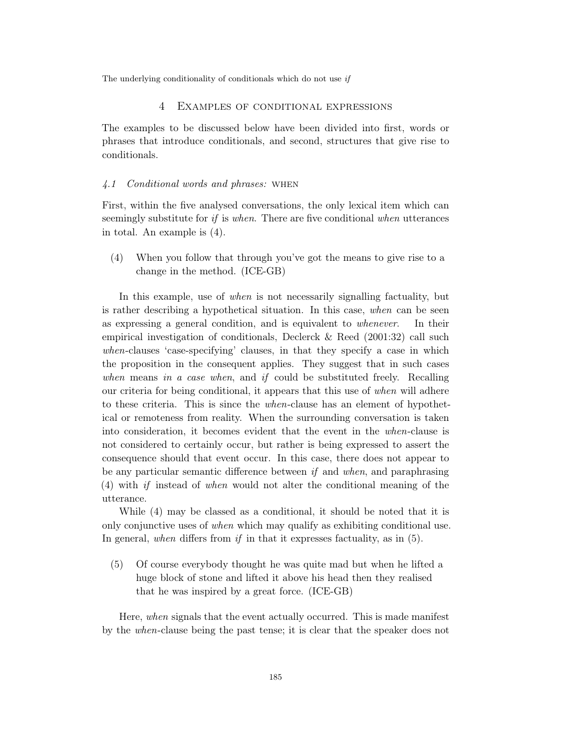#### 4 Examples of conditional expressions

The examples to be discussed below have been divided into first, words or phrases that introduce conditionals, and second, structures that give rise to conditionals.

#### *4.1 Conditional words and phrases:* when

First, within the five analysed conversations, the only lexical item which can seemingly substitute for *if* is *when*. There are five conditional *when* utterances in total. An example is (4).

(4) When you follow that through you've got the means to give rise to a change in the method. (ICE-GB)

In this example, use of *when* is not necessarily signalling factuality, but is rather describing a hypothetical situation. In this case, *when* can be seen as expressing a general condition, and is equivalent to *whenever*. In their empirical investigation of conditionals, Declerck & Reed (2001:32) call such *when*-clauses 'case-specifying' clauses, in that they specify a case in which the proposition in the consequent applies. They suggest that in such cases *when* means *in a case when*, and *if* could be substituted freely. Recalling our criteria for being conditional, it appears that this use of *when* will adhere to these criteria. This is since the *when*-clause has an element of hypothetical or remoteness from reality. When the surrounding conversation is taken into consideration, it becomes evident that the event in the *when*-clause is not considered to certainly occur, but rather is being expressed to assert the consequence should that event occur. In this case, there does not appear to be any particular semantic difference between *if* and *when*, and paraphrasing (4) with *if* instead of *when* would not alter the conditional meaning of the utterance.

While (4) may be classed as a conditional, it should be noted that it is only conjunctive uses of *when* which may qualify as exhibiting conditional use. In general, *when* differs from *if* in that it expresses factuality, as in (5).

(5) Of course everybody thought he was quite mad but when he lifted a huge block of stone and lifted it above his head then they realised that he was inspired by a great force. (ICE-GB)

Here, *when* signals that the event actually occurred. This is made manifest by the *when*-clause being the past tense; it is clear that the speaker does not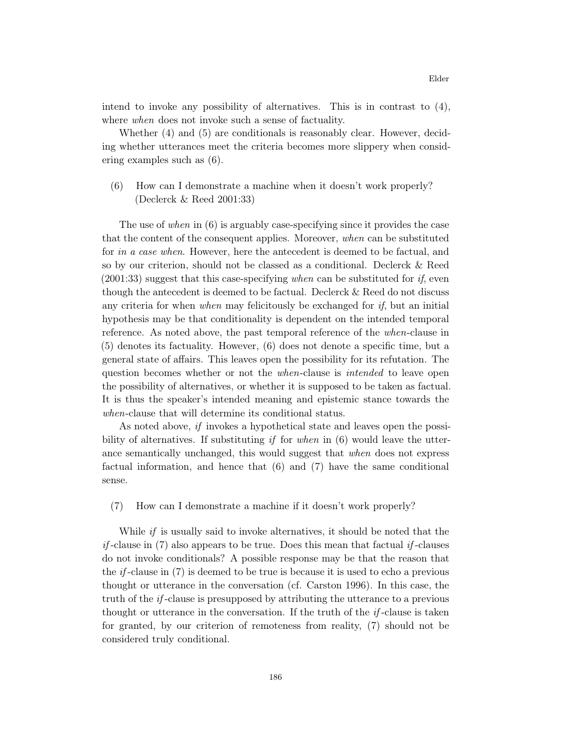intend to invoke any possibility of alternatives. This is in contrast to (4), where *when* does not invoke such a sense of factuality.

Whether (4) and (5) are conditionals is reasonably clear. However, deciding whether utterances meet the criteria becomes more slippery when considering examples such as (6).

(6) How can I demonstrate a machine when it doesn't work properly? (Declerck & Reed 2001:33)

The use of *when* in (6) is arguably case-specifying since it provides the case that the content of the consequent applies. Moreover, *when* can be substituted for *in a case when*. However, here the antecedent is deemed to be factual, and so by our criterion, should not be classed as a conditional. Declerck & Reed (2001:33) suggest that this case-specifying *when* can be substituted for *if*, even though the antecedent is deemed to be factual. Declerck & Reed do not discuss any criteria for when *when* may felicitously be exchanged for *if*, but an initial hypothesis may be that conditionality is dependent on the intended temporal reference. As noted above, the past temporal reference of the *when*-clause in (5) denotes its factuality. However, (6) does not denote a specific time, but a general state of affairs. This leaves open the possibility for its refutation. The question becomes whether or not the *when*-clause is *intended* to leave open the possibility of alternatives, or whether it is supposed to be taken as factual. It is thus the speaker's intended meaning and epistemic stance towards the *when*-clause that will determine its conditional status.

As noted above, *if* invokes a hypothetical state and leaves open the possibility of alternatives. If substituting *if* for *when* in (6) would leave the utterance semantically unchanged, this would suggest that *when* does not express factual information, and hence that (6) and (7) have the same conditional sense.

(7) How can I demonstrate a machine if it doesn't work properly?

While *if* is usually said to invoke alternatives, it should be noted that the *if* -clause in (7) also appears to be true. Does this mean that factual *if* -clauses do not invoke conditionals? A possible response may be that the reason that the *if* -clause in (7) is deemed to be true is because it is used to echo a previous thought or utterance in the conversation (cf. Carston 1996). In this case, the truth of the *if* -clause is presupposed by attributing the utterance to a previous thought or utterance in the conversation. If the truth of the *if* -clause is taken for granted, by our criterion of remoteness from reality, (7) should not be considered truly conditional.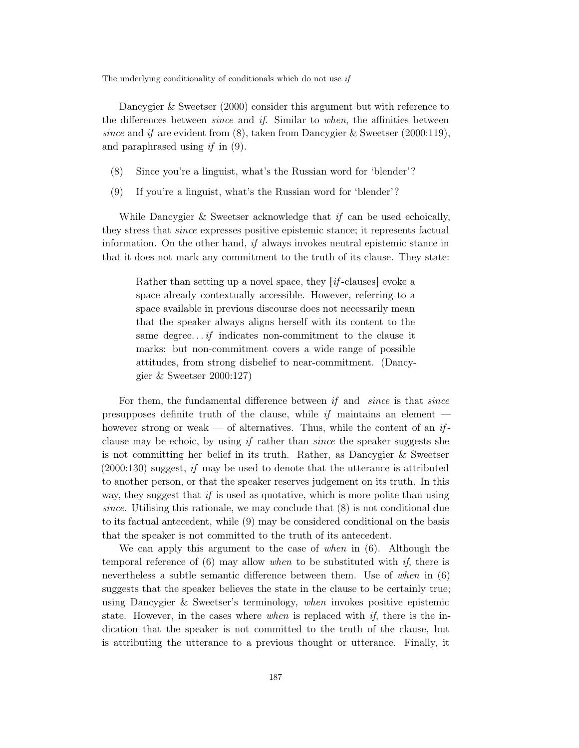Dancygier & Sweetser (2000) consider this argument but with reference to the differences between *since* and *if*. Similar to *when*, the affinities between *since* and *if* are evident from (8), taken from Dancygier & Sweetser (2000:119), and paraphrased using *if* in (9).

- (8) Since you're a linguist, what's the Russian word for 'blender'?
- (9) If you're a linguist, what's the Russian word for 'blender'?

While Dancygier & Sweetser acknowledge that *if* can be used echoically, they stress that *since* expresses positive epistemic stance; it represents factual information. On the other hand, *if* always invokes neutral epistemic stance in that it does not mark any commitment to the truth of its clause. They state:

Rather than setting up a novel space, they *if*-clauses evoke a space already contextually accessible. However, referring to a space available in previous discourse does not necessarily mean that the speaker always aligns herself with its content to the same degree. . . *if* indicates non-commitment to the clause it marks: but non-commitment covers a wide range of possible attitudes, from strong disbelief to near-commitment. (Dancygier & Sweetser 2000:127)

For them, the fundamental difference between *if* and *since* is that *since* presupposes definite truth of the clause, while *if* maintains an element however strong or weak — of alternatives. Thus, while the content of an *if*clause may be echoic, by using *if* rather than *since* the speaker suggests she is not committing her belief in its truth. Rather, as Dancygier & Sweetser (2000:130) suggest, *if* may be used to denote that the utterance is attributed to another person, or that the speaker reserves judgement on its truth. In this way, they suggest that *if* is used as quotative, which is more polite than using *since*. Utilising this rationale, we may conclude that (8) is not conditional due to its factual antecedent, while (9) may be considered conditional on the basis that the speaker is not committed to the truth of its antecedent.

We can apply this argument to the case of *when* in (6). Although the temporal reference of (6) may allow *when* to be substituted with *if*, there is nevertheless a subtle semantic difference between them. Use of *when* in (6) suggests that the speaker believes the state in the clause to be certainly true; using Dancygier & Sweetser's terminology, *when* invokes positive epistemic state. However, in the cases where *when* is replaced with *if*, there is the indication that the speaker is not committed to the truth of the clause, but is attributing the utterance to a previous thought or utterance. Finally, it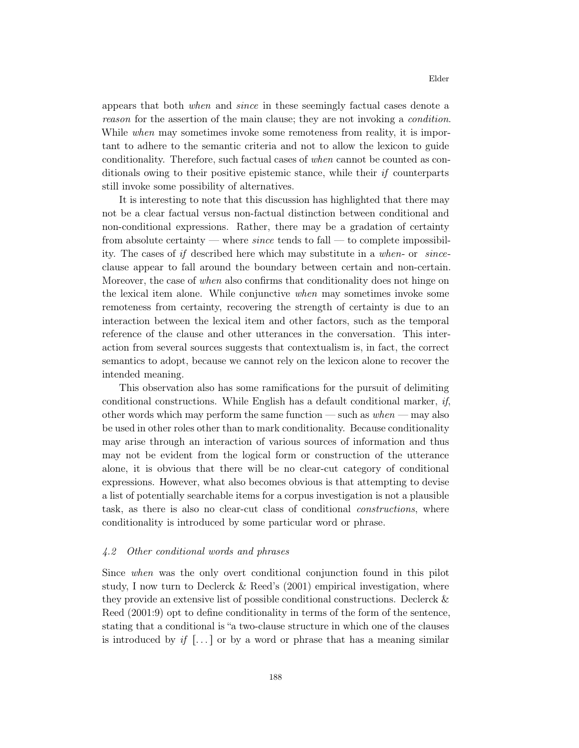appears that both *when* and *since* in these seemingly factual cases denote a *reason* for the assertion of the main clause; they are not invoking a *condition*. While *when* may sometimes invoke some remoteness from reality, it is important to adhere to the semantic criteria and not to allow the lexicon to guide conditionality. Therefore, such factual cases of *when* cannot be counted as conditionals owing to their positive epistemic stance, while their *if* counterparts still invoke some possibility of alternatives.

It is interesting to note that this discussion has highlighted that there may not be a clear factual versus non-factual distinction between conditional and non-conditional expressions. Rather, there may be a gradation of certainty from absolute certainty — where *since* tends to fall — to complete impossibility. The cases of *if* described here which may substitute in a *when*- or *since*clause appear to fall around the boundary between certain and non-certain. Moreover, the case of *when* also confirms that conditionality does not hinge on the lexical item alone. While conjunctive *when* may sometimes invoke some remoteness from certainty, recovering the strength of certainty is due to an interaction between the lexical item and other factors, such as the temporal reference of the clause and other utterances in the conversation. This interaction from several sources suggests that contextualism is, in fact, the correct semantics to adopt, because we cannot rely on the lexicon alone to recover the intended meaning.

This observation also has some ramifications for the pursuit of delimiting conditional constructions. While English has a default conditional marker, *if*, other words which may perform the same function — such as *when* — may also be used in other roles other than to mark conditionality. Because conditionality may arise through an interaction of various sources of information and thus may not be evident from the logical form or construction of the utterance alone, it is obvious that there will be no clear-cut category of conditional expressions. However, what also becomes obvious is that attempting to devise a list of potentially searchable items for a corpus investigation is not a plausible task, as there is also no clear-cut class of conditional *constructions*, where conditionality is introduced by some particular word or phrase.

## *4.2 Other conditional words and phrases*

Since *when* was the only overt conditional conjunction found in this pilot study, I now turn to Declerck & Reed's (2001) empirical investigation, where they provide an extensive list of possible conditional constructions. Declerck & Reed (2001:9) opt to define conditionality in terms of the form of the sentence, stating that a conditional is "a two-clause structure in which one of the clauses is introduced by *if*  $\left[\ldots\right]$  or by a word or phrase that has a meaning similar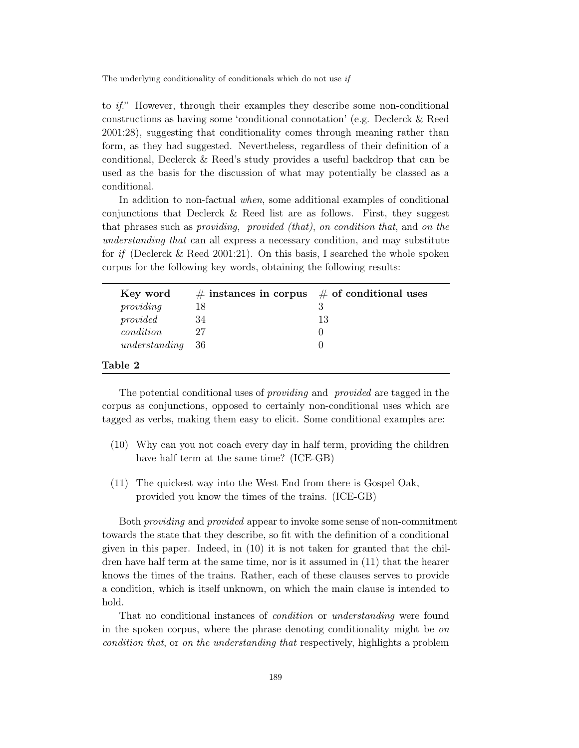to *if*." However, through their examples they describe some non-conditional constructions as having some 'conditional connotation' (e.g. Declerck & Reed 2001:28), suggesting that conditionality comes through meaning rather than form, as they had suggested. Nevertheless, regardless of their definition of a conditional, Declerck & Reed's study provides a useful backdrop that can be used as the basis for the discussion of what may potentially be classed as a conditional.

In addition to non-factual *when*, some additional examples of conditional conjunctions that Declerck & Reed list are as follows. First, they suggest that phrases such as *providing*, *provided (that)*, *on condition that*, and *on the understanding that* can all express a necessary condition, and may substitute for *if* (Declerck & Reed 2001:21). On this basis, I searched the whole spoken corpus for the following key words, obtaining the following results:

| Key word         | $\#$ instances in corpus $\#$ of conditional uses |    |
|------------------|---------------------------------------------------|----|
| providing        | 18                                                |    |
| provided         | 34                                                | 13 |
| condition        | 27                                                |    |
| understanding 36 |                                                   |    |
| Table 2          |                                                   |    |

The potential conditional uses of *providing* and *provided* are tagged in the corpus as conjunctions, opposed to certainly non-conditional uses which are tagged as verbs, making them easy to elicit. Some conditional examples are:

- (10) Why can you not coach every day in half term, providing the children have half term at the same time? (ICE-GB)
- (11) The quickest way into the West End from there is Gospel Oak, provided you know the times of the trains. (ICE-GB)

Both *providing* and *provided* appear to invoke some sense of non-commitment towards the state that they describe, so fit with the definition of a conditional given in this paper. Indeed, in (10) it is not taken for granted that the children have half term at the same time, nor is it assumed in (11) that the hearer knows the times of the trains. Rather, each of these clauses serves to provide a condition, which is itself unknown, on which the main clause is intended to hold.

That no conditional instances of *condition* or *understanding* were found in the spoken corpus, where the phrase denoting conditionality might be *on condition that*, or *on the understanding that* respectively, highlights a problem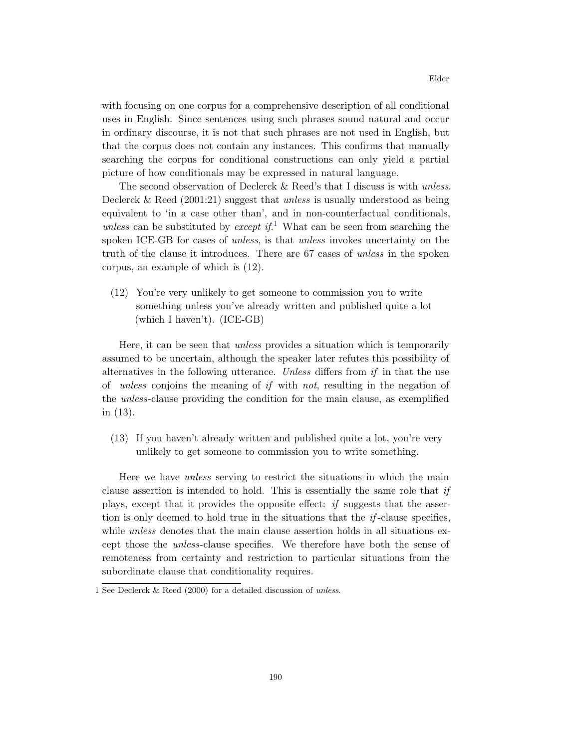with focusing on one corpus for a comprehensive description of all conditional uses in English. Since sentences using such phrases sound natural and occur in ordinary discourse, it is not that such phrases are not used in English, but that the corpus does not contain any instances. This confirms that manually searching the corpus for conditional constructions can only yield a partial picture of how conditionals may be expressed in natural language.

The second observation of Declerck & Reed's that I discuss is with *unless*. Declerck & Reed (2001:21) suggest that *unless* is usually understood as being equivalent to 'in a case other than', and in non-counterfactual conditionals, *unless* can be substituted by *except if*. <sup>1</sup> What can be seen from searching the spoken ICE-GB for cases of *unless*, is that *unless* invokes uncertainty on the truth of the clause it introduces. There are 67 cases of *unless* in the spoken corpus, an example of which is (12).

(12) You're very unlikely to get someone to commission you to write something unless you've already written and published quite a lot (which I haven't). (ICE-GB)

Here, it can be seen that *unless* provides a situation which is temporarily assumed to be uncertain, although the speaker later refutes this possibility of alternatives in the following utterance. *Unless* differs from *if* in that the use of *unless* conjoins the meaning of *if* with *not*, resulting in the negation of the *unless*-clause providing the condition for the main clause, as exemplified in (13).

(13) If you haven't already written and published quite a lot, you're very unlikely to get someone to commission you to write something.

Here we have *unless* serving to restrict the situations in which the main clause assertion is intended to hold. This is essentially the same role that *if* plays, except that it provides the opposite effect: *if* suggests that the assertion is only deemed to hold true in the situations that the *if* -clause specifies, while *unless* denotes that the main clause assertion holds in all situations except those the *unless*-clause specifies. We therefore have both the sense of remoteness from certainty and restriction to particular situations from the subordinate clause that conditionality requires.

<sup>1</sup> See Declerck & Reed (2000) for a detailed discussion of unless.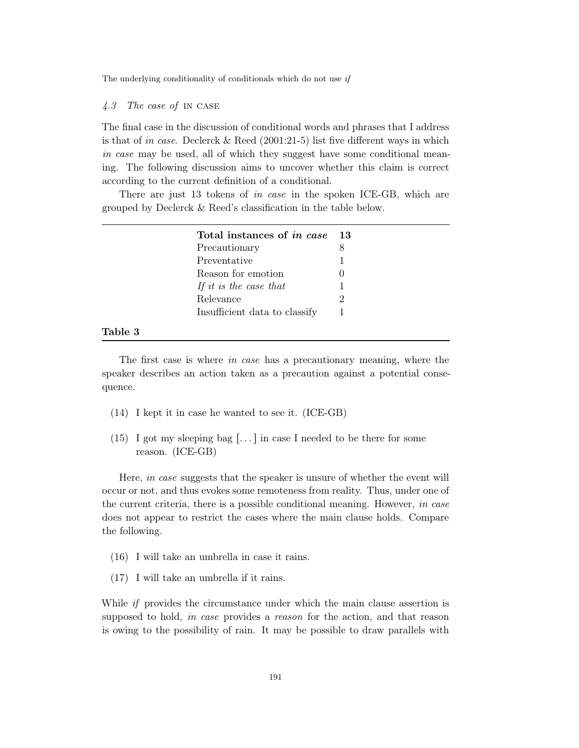## *4.3 The case of* in case

The final case in the discussion of conditional words and phrases that I address is that of *in case*. Declerck & Reed (2001:21-5) list five different ways in which *in case* may be used, all of which they suggest have some conditional meaning. The following discussion aims to uncover whether this claim is correct according to the current definition of a conditional.

There are just 13 tokens of *in case* in the spoken ICE-GB, which are grouped by Declerck & Reed's classification in the table below.

| Total instances of <i>in case</i> | 13 |
|-----------------------------------|----|
| Precautionary                     |    |
| Preventative                      | 1  |
| Reason for emotion                |    |
| If it is the case that            |    |
| Relevance                         | 2  |
| Insufficient data to classify     |    |

# Table 3

The first case is where *in case* has a precautionary meaning, where the speaker describes an action taken as a precaution against a potential consequence.

- (14) I kept it in case he wanted to see it. (ICE-GB)
- (15) I got my sleeping bag [ $\dots$ ] in case I needed to be there for some reason. (ICE-GB)

Here, *in case* suggests that the speaker is unsure of whether the event will occur or not, and thus evokes some remoteness from reality. Thus, under one of the current criteria, there is a possible conditional meaning. However, *in case* does not appear to restrict the cases where the main clause holds. Compare the following.

- (16) I will take an umbrella in case it rains.
- (17) I will take an umbrella if it rains.

While *if* provides the circumstance under which the main clause assertion is supposed to hold, *in case* provides a *reason* for the action, and that reason is owing to the possibility of rain. It may be possible to draw parallels with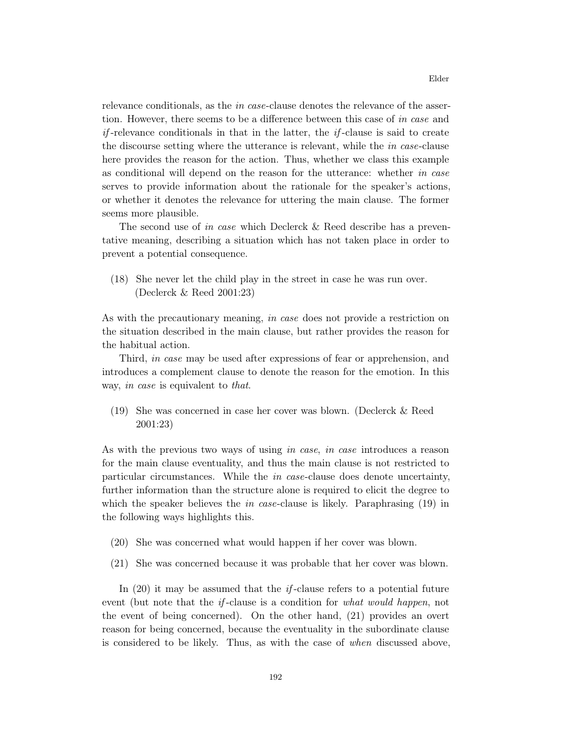relevance conditionals, as the *in case*-clause denotes the relevance of the assertion. However, there seems to be a difference between this case of *in case* and *if* -relevance conditionals in that in the latter, the *if* -clause is said to create the discourse setting where the utterance is relevant, while the *in case*-clause here provides the reason for the action. Thus, whether we class this example as conditional will depend on the reason for the utterance: whether *in case* serves to provide information about the rationale for the speaker's actions, or whether it denotes the relevance for uttering the main clause. The former seems more plausible.

The second use of *in case* which Declerck & Reed describe has a preventative meaning, describing a situation which has not taken place in order to prevent a potential consequence.

(18) She never let the child play in the street in case he was run over. (Declerck & Reed 2001:23)

As with the precautionary meaning, *in case* does not provide a restriction on the situation described in the main clause, but rather provides the reason for the habitual action.

Third, *in case* may be used after expressions of fear or apprehension, and introduces a complement clause to denote the reason for the emotion. In this way, *in case* is equivalent to *that*.

(19) She was concerned in case her cover was blown. (Declerck & Reed 2001:23)

As with the previous two ways of using *in case*, *in case* introduces a reason for the main clause eventuality, and thus the main clause is not restricted to particular circumstances. While the *in case*-clause does denote uncertainty, further information than the structure alone is required to elicit the degree to which the speaker believes the *in case*-clause is likely. Paraphrasing (19) in the following ways highlights this.

- (20) She was concerned what would happen if her cover was blown.
- (21) She was concerned because it was probable that her cover was blown.

In (20) it may be assumed that the *if* -clause refers to a potential future event (but note that the *if* -clause is a condition for *what would happen*, not the event of being concerned). On the other hand, (21) provides an overt reason for being concerned, because the eventuality in the subordinate clause is considered to be likely. Thus, as with the case of *when* discussed above,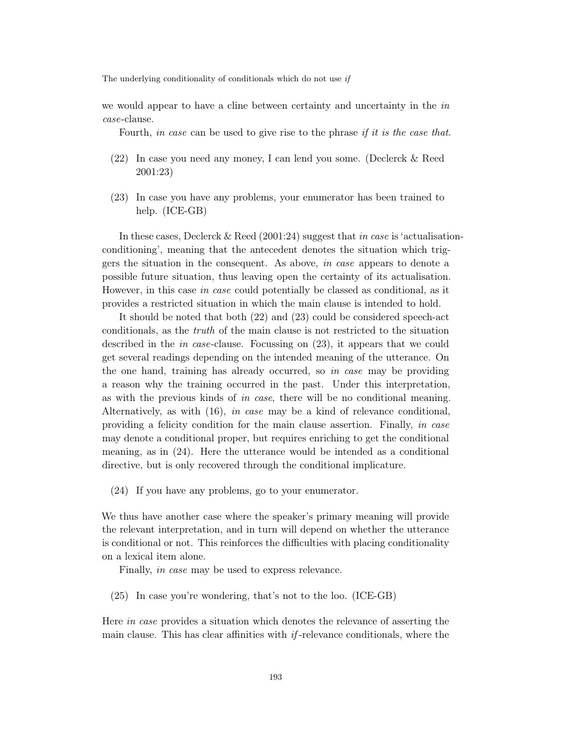we would appear to have a cline between certainty and uncertainty in the *in case*-clause.

Fourth, *in case* can be used to give rise to the phrase *if it is the case that*.

- (22) In case you need any money, I can lend you some. (Declerck & Reed 2001:23)
- (23) In case you have any problems, your enumerator has been trained to help. (ICE-GB)

In these cases, Declerck & Reed (2001:24) suggest that *in case* is 'actualisationconditioning', meaning that the antecedent denotes the situation which triggers the situation in the consequent. As above, *in case* appears to denote a possible future situation, thus leaving open the certainty of its actualisation. However, in this case *in case* could potentially be classed as conditional, as it provides a restricted situation in which the main clause is intended to hold.

It should be noted that both (22) and (23) could be considered speech-act conditionals, as the *truth* of the main clause is not restricted to the situation described in the *in case*-clause. Focussing on (23), it appears that we could get several readings depending on the intended meaning of the utterance. On the one hand, training has already occurred, so *in case* may be providing a reason why the training occurred in the past. Under this interpretation, as with the previous kinds of *in case*, there will be no conditional meaning. Alternatively, as with (16), *in case* may be a kind of relevance conditional, providing a felicity condition for the main clause assertion. Finally, *in case* may denote a conditional proper, but requires enriching to get the conditional meaning, as in (24). Here the utterance would be intended as a conditional directive, but is only recovered through the conditional implicature.

(24) If you have any problems, go to your enumerator.

We thus have another case where the speaker's primary meaning will provide the relevant interpretation, and in turn will depend on whether the utterance is conditional or not. This reinforces the difficulties with placing conditionality on a lexical item alone.

Finally, *in case* may be used to express relevance.

(25) In case you're wondering, that's not to the loo. (ICE-GB)

Here *in case* provides a situation which denotes the relevance of asserting the main clause. This has clear affinities with *if* -relevance conditionals, where the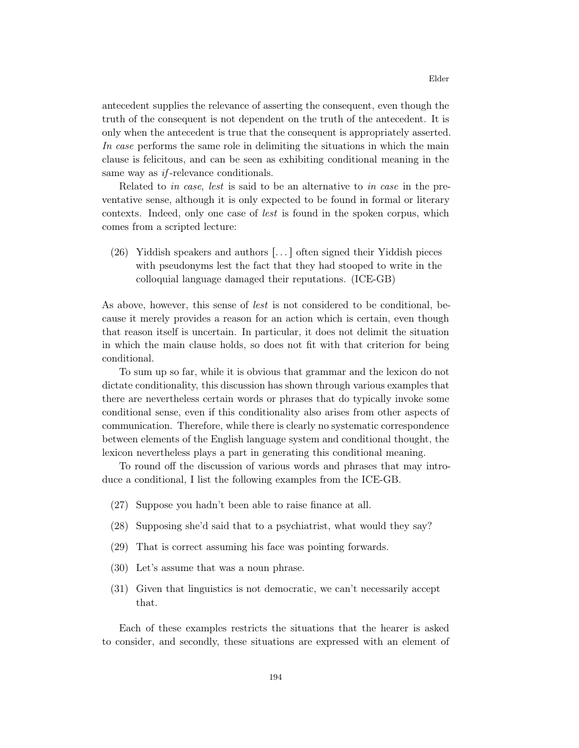antecedent supplies the relevance of asserting the consequent, even though the truth of the consequent is not dependent on the truth of the antecedent. It is only when the antecedent is true that the consequent is appropriately asserted. *In case* performs the same role in delimiting the situations in which the main clause is felicitous, and can be seen as exhibiting conditional meaning in the same way as *if* -relevance conditionals.

Related to *in case*, *lest* is said to be an alternative to *in case* in the preventative sense, although it is only expected to be found in formal or literary contexts. Indeed, only one case of *lest* is found in the spoken corpus, which comes from a scripted lecture:

(26) Yiddish speakers and authors  $\left[\ldots\right]$  often signed their Yiddish pieces with pseudonyms lest the fact that they had stooped to write in the colloquial language damaged their reputations. (ICE-GB)

As above, however, this sense of *lest* is not considered to be conditional, because it merely provides a reason for an action which is certain, even though that reason itself is uncertain. In particular, it does not delimit the situation in which the main clause holds, so does not fit with that criterion for being conditional.

To sum up so far, while it is obvious that grammar and the lexicon do not dictate conditionality, this discussion has shown through various examples that there are nevertheless certain words or phrases that do typically invoke some conditional sense, even if this conditionality also arises from other aspects of communication. Therefore, while there is clearly no systematic correspondence between elements of the English language system and conditional thought, the lexicon nevertheless plays a part in generating this conditional meaning.

To round off the discussion of various words and phrases that may introduce a conditional, I list the following examples from the ICE-GB.

- (27) Suppose you hadn't been able to raise finance at all.
- (28) Supposing she'd said that to a psychiatrist, what would they say?
- (29) That is correct assuming his face was pointing forwards.
- (30) Let's assume that was a noun phrase.
- (31) Given that linguistics is not democratic, we can't necessarily accept that.

Each of these examples restricts the situations that the hearer is asked to consider, and secondly, these situations are expressed with an element of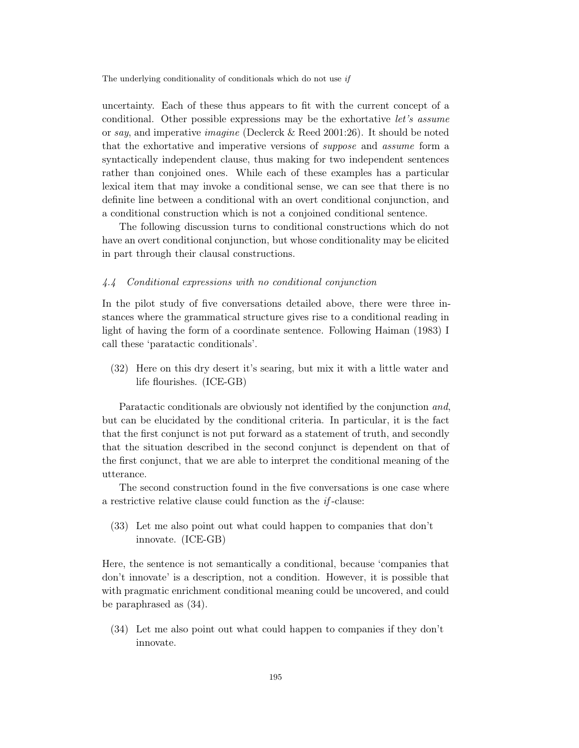uncertainty. Each of these thus appears to fit with the current concept of a conditional. Other possible expressions may be the exhortative *let's assume* or *say*, and imperative *imagine* (Declerck & Reed 2001:26). It should be noted that the exhortative and imperative versions of *suppose* and *assume* form a syntactically independent clause, thus making for two independent sentences rather than conjoined ones. While each of these examples has a particular lexical item that may invoke a conditional sense, we can see that there is no definite line between a conditional with an overt conditional conjunction, and a conditional construction which is not a conjoined conditional sentence.

The following discussion turns to conditional constructions which do not have an overt conditional conjunction, but whose conditionality may be elicited in part through their clausal constructions.

#### *4.4 Conditional expressions with no conditional conjunction*

In the pilot study of five conversations detailed above, there were three instances where the grammatical structure gives rise to a conditional reading in light of having the form of a coordinate sentence. Following Haiman (1983) I call these 'paratactic conditionals'.

(32) Here on this dry desert it's searing, but mix it with a little water and life flourishes. (ICE-GB)

Paratactic conditionals are obviously not identified by the conjunction *and*, but can be elucidated by the conditional criteria. In particular, it is the fact that the first conjunct is not put forward as a statement of truth, and secondly that the situation described in the second conjunct is dependent on that of the first conjunct, that we are able to interpret the conditional meaning of the utterance.

The second construction found in the five conversations is one case where a restrictive relative clause could function as the *if* -clause:

(33) Let me also point out what could happen to companies that don't innovate. (ICE-GB)

Here, the sentence is not semantically a conditional, because 'companies that don't innovate' is a description, not a condition. However, it is possible that with pragmatic enrichment conditional meaning could be uncovered, and could be paraphrased as (34).

(34) Let me also point out what could happen to companies if they don't innovate.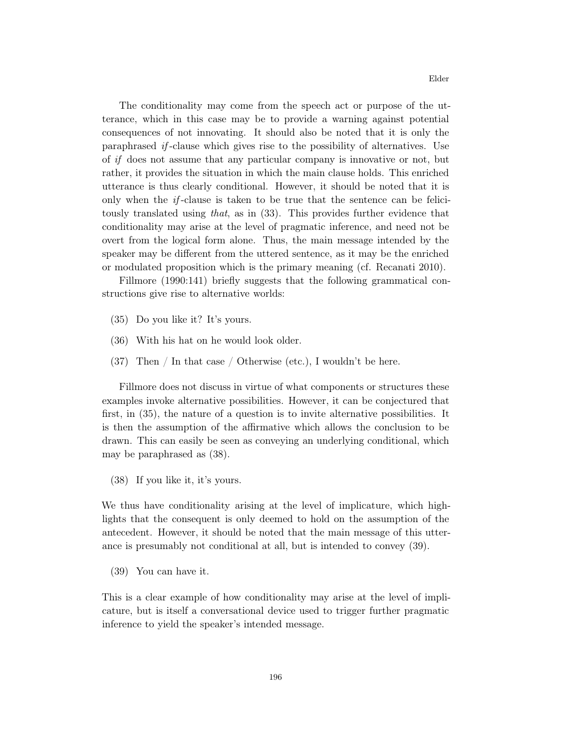The conditionality may come from the speech act or purpose of the utterance, which in this case may be to provide a warning against potential consequences of not innovating. It should also be noted that it is only the paraphrased *if* -clause which gives rise to the possibility of alternatives. Use of *if* does not assume that any particular company is innovative or not, but rather, it provides the situation in which the main clause holds. This enriched utterance is thus clearly conditional. However, it should be noted that it is only when the *if* -clause is taken to be true that the sentence can be felicitously translated using *that*, as in (33). This provides further evidence that conditionality may arise at the level of pragmatic inference, and need not be overt from the logical form alone. Thus, the main message intended by the speaker may be different from the uttered sentence, as it may be the enriched or modulated proposition which is the primary meaning (cf. Recanati 2010).

Fillmore (1990:141) briefly suggests that the following grammatical constructions give rise to alternative worlds:

- (35) Do you like it? It's yours.
- (36) With his hat on he would look older.
- (37) Then / In that case / Otherwise (etc.), I wouldn't be here.

Fillmore does not discuss in virtue of what components or structures these examples invoke alternative possibilities. However, it can be conjectured that first, in (35), the nature of a question is to invite alternative possibilities. It is then the assumption of the affirmative which allows the conclusion to be drawn. This can easily be seen as conveying an underlying conditional, which may be paraphrased as (38).

(38) If you like it, it's yours.

We thus have conditionality arising at the level of implicature, which highlights that the consequent is only deemed to hold on the assumption of the antecedent. However, it should be noted that the main message of this utterance is presumably not conditional at all, but is intended to convey (39).

(39) You can have it.

This is a clear example of how conditionality may arise at the level of implicature, but is itself a conversational device used to trigger further pragmatic inference to yield the speaker's intended message.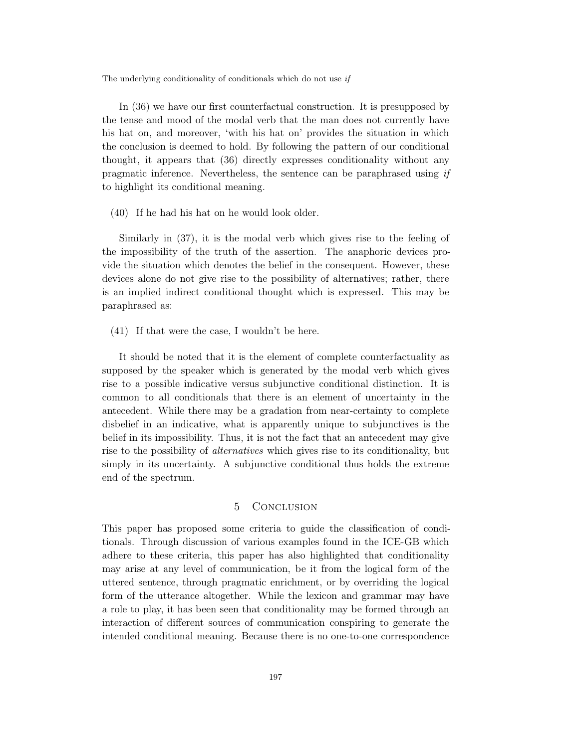In (36) we have our first counterfactual construction. It is presupposed by the tense and mood of the modal verb that the man does not currently have his hat on, and moreover, 'with his hat on' provides the situation in which the conclusion is deemed to hold. By following the pattern of our conditional thought, it appears that (36) directly expresses conditionality without any pragmatic inference. Nevertheless, the sentence can be paraphrased using *if* to highlight its conditional meaning.

(40) If he had his hat on he would look older.

Similarly in (37), it is the modal verb which gives rise to the feeling of the impossibility of the truth of the assertion. The anaphoric devices provide the situation which denotes the belief in the consequent. However, these devices alone do not give rise to the possibility of alternatives; rather, there is an implied indirect conditional thought which is expressed. This may be paraphrased as:

(41) If that were the case, I wouldn't be here.

It should be noted that it is the element of complete counterfactuality as supposed by the speaker which is generated by the modal verb which gives rise to a possible indicative versus subjunctive conditional distinction. It is common to all conditionals that there is an element of uncertainty in the antecedent. While there may be a gradation from near-certainty to complete disbelief in an indicative, what is apparently unique to subjunctives is the belief in its impossibility. Thus, it is not the fact that an antecedent may give rise to the possibility of *alternatives* which gives rise to its conditionality, but simply in its uncertainty. A subjunctive conditional thus holds the extreme end of the spectrum.

# 5 Conclusion

This paper has proposed some criteria to guide the classification of conditionals. Through discussion of various examples found in the ICE-GB which adhere to these criteria, this paper has also highlighted that conditionality may arise at any level of communication, be it from the logical form of the uttered sentence, through pragmatic enrichment, or by overriding the logical form of the utterance altogether. While the lexicon and grammar may have a role to play, it has been seen that conditionality may be formed through an interaction of different sources of communication conspiring to generate the intended conditional meaning. Because there is no one-to-one correspondence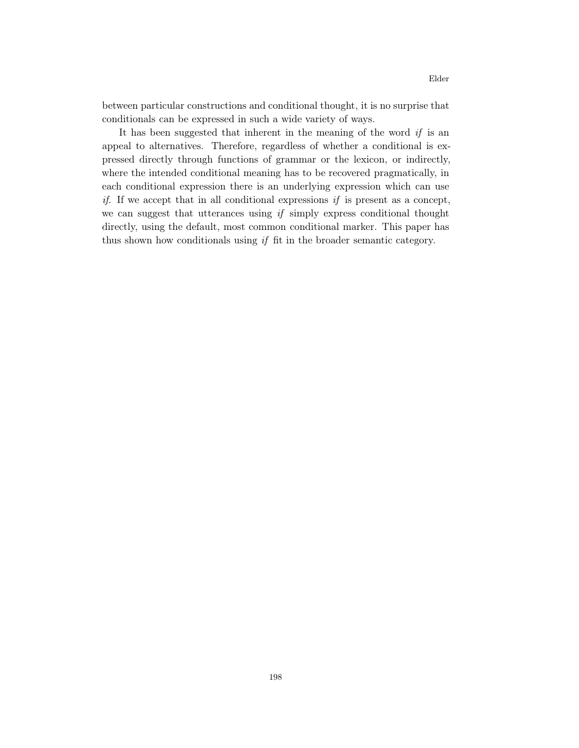between particular constructions and conditional thought, it is no surprise that conditionals can be expressed in such a wide variety of ways.

It has been suggested that inherent in the meaning of the word *if* is an appeal to alternatives. Therefore, regardless of whether a conditional is expressed directly through functions of grammar or the lexicon, or indirectly, where the intended conditional meaning has to be recovered pragmatically, in each conditional expression there is an underlying expression which can use *if*. If we accept that in all conditional expressions *if* is present as a concept, we can suggest that utterances using *if* simply express conditional thought directly, using the default, most common conditional marker. This paper has thus shown how conditionals using *if* fit in the broader semantic category.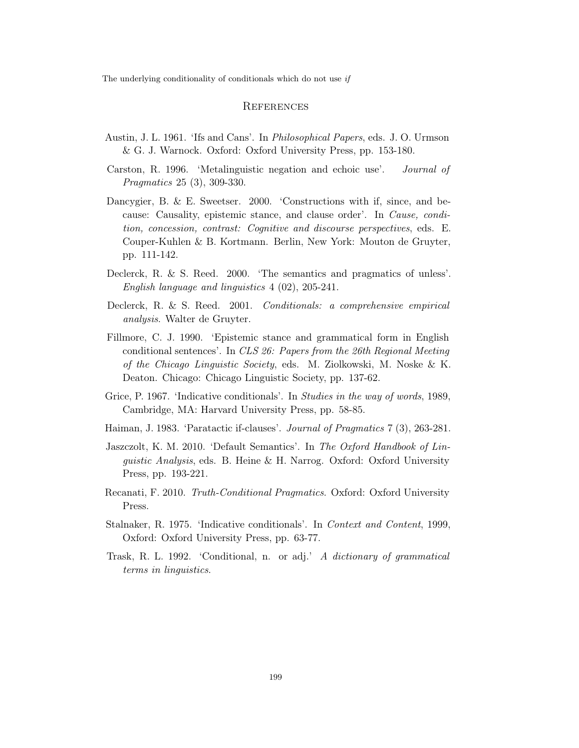#### **REFERENCES**

- Austin, J. L. 1961. 'Ifs and Cans'. In *Philosophical Papers*, eds. J. O. Urmson & G. J. Warnock. Oxford: Oxford University Press, pp. 153-180.
- Carston, R. 1996. 'Metalinguistic negation and echoic use'. *Journal of Pragmatics* 25 (3), 309-330.
- Dancygier, B. & E. Sweetser. 2000. 'Constructions with if, since, and because: Causality, epistemic stance, and clause order'. In *Cause, condition, concession, contrast: Cognitive and discourse perspectives*, eds. E. Couper-Kuhlen & B. Kortmann. Berlin, New York: Mouton de Gruyter, pp. 111-142.
- Declerck, R. & S. Reed. 2000. 'The semantics and pragmatics of unless'. *English language and linguistics* 4 (02), 205-241.
- Declerck, R. & S. Reed. 2001. *Conditionals: a comprehensive empirical analysis*. Walter de Gruyter.
- Fillmore, C. J. 1990. 'Epistemic stance and grammatical form in English conditional sentences'. In *CLS 26: Papers from the 26th Regional Meeting of the Chicago Linguistic Society*, eds. M. Ziolkowski, M. Noske & K. Deaton. Chicago: Chicago Linguistic Society, pp. 137-62.
- Grice, P. 1967. 'Indicative conditionals'. In *Studies in the way of words*, 1989, Cambridge, MA: Harvard University Press, pp. 58-85.
- Haiman, J. 1983. 'Paratactic if-clauses'. *Journal of Pragmatics* 7 (3), 263-281.
- Jaszczolt, K. M. 2010. 'Default Semantics'. In *The Oxford Handbook of Linguistic Analysis*, eds. B. Heine & H. Narrog. Oxford: Oxford University Press, pp. 193-221.
- Recanati, F. 2010. *Truth-Conditional Pragmatics*. Oxford: Oxford University Press.
- Stalnaker, R. 1975. 'Indicative conditionals'. In *Context and Content*, 1999, Oxford: Oxford University Press, pp. 63-77.
- Trask, R. L. 1992. 'Conditional, n. or adj.' *A dictionary of grammatical terms in linguistics*.